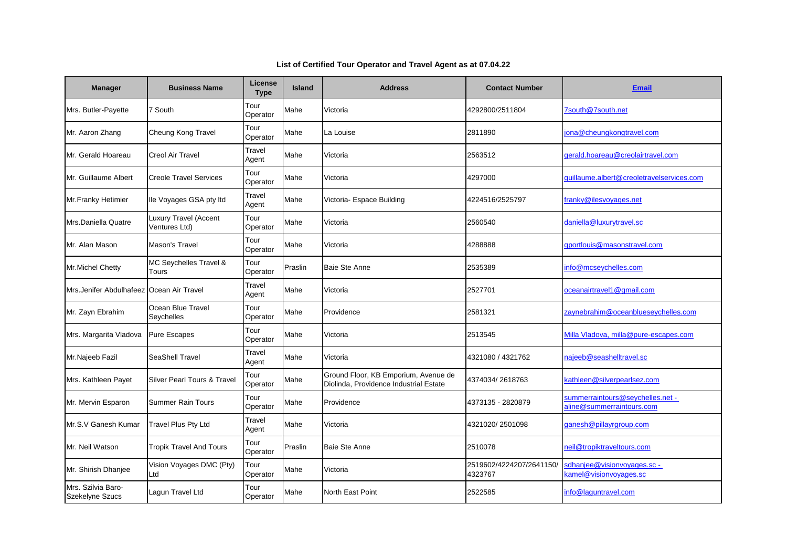| <b>Manager</b>                             | <b>Business Name</b>                          | <b>License</b><br><b>Type</b> | <b>Island</b> | <b>Address</b>                                                                 | <b>Contact Number</b>               | <b>Email</b>                                                  |
|--------------------------------------------|-----------------------------------------------|-------------------------------|---------------|--------------------------------------------------------------------------------|-------------------------------------|---------------------------------------------------------------|
| Mrs. Butler-Payette                        | 7 South                                       | Tour<br>Operator              | Mahe          | Victoria                                                                       | 4292800/2511804                     | 7south@7south.net                                             |
| Mr. Aaron Zhang                            | Cheung Kong Travel                            | Tour<br>Operator              | Mahe          | La Louise                                                                      | 2811890                             | jona@cheungkongtravel.com                                     |
| Mr. Gerald Hoareau                         | <b>Creol Air Travel</b>                       | Travel<br>Agent               | Mahe          | Victoria                                                                       | 2563512                             | gerald.hoareau@creolairtravel.com                             |
| Mr. Guillaume Albert                       | <b>Creole Travel Services</b>                 | Tour<br>Operator              | Mahe          | Victoria                                                                       | 4297000                             | guillaume.albert@creoletravelservices.com                     |
| Mr.Franky Hetimier                         | Ile Voyages GSA pty Itd                       | Travel<br>Agent               | Mahe          | Victoria- Espace Building                                                      | 4224516/2525797                     | franky@ilesvoyages.net                                        |
| Mrs.Daniella Quatre                        | <b>Luxury Travel (Accent</b><br>Ventures Ltd) | Tour<br>Operator              | Mahe          | Victoria                                                                       | 2560540                             | daniella@luxurytravel.sc                                      |
| Mr. Alan Mason                             | Mason's Travel                                | Tour<br>Operator              | Mahe          | Victoria                                                                       | 4288888                             | gportlouis@masonstravel.com                                   |
| Mr.Michel Chetty                           | MC Seychelles Travel &<br>Tours               | Tour<br>Operator              | Praslin       | <b>Baie Ste Anne</b>                                                           | 2535389                             | info@mcseychelles.com                                         |
| Mrs.Jenifer Abdulhafeez   Ocean Air Travel |                                               | Travel<br>Agent               | Mahe          | Victoria                                                                       | 2527701                             | oceanairtravel1@gmail.com                                     |
| Mr. Zayn Ebrahim                           | Ocean Blue Travel<br><b>Seychelles</b>        | Tour<br>Operator              | Mahe          | Providence                                                                     | 2581321                             | zaynebrahim@oceanblueseychelles.com                           |
| Mrs. Margarita Vladova                     | <b>Pure Escapes</b>                           | Tour<br>Operator              | Mahe          | Victoria                                                                       | 2513545                             | Milla Vladova, milla@pure-escapes.com                         |
| Mr.Najeeb Fazil                            | <b>SeaShell Travel</b>                        | Travel<br>Agent               | Mahe          | Victoria                                                                       | 4321080 / 4321762                   | najeeb@seashelltravel.sc                                      |
| Mrs. Kathleen Payet                        | Silver Pearl Tours & Travel                   | Tour<br>Operator              | Mahe          | Ground Floor, KB Emporium, Avenue de<br>Diolinda, Providence Industrial Estate | 4374034/2618763                     | kathleen@silverpearlsez.com                                   |
| Mr. Mervin Esparon                         | Summer Rain Tours                             | Tour<br>Operator              | Mahe          | Providence                                                                     | 4373135 - 2820879                   | summerraintours@seychelles.net -<br>aline@summerraintours.com |
| Mr.S.V Ganesh Kumar                        | Travel Plus Pty Ltd                           | Travel<br>Agent               | Mahe          | Victoria                                                                       | 4321020/2501098                     | ganesh@pillayrgroup.com                                       |
| Mr. Neil Watson                            | <b>Tropik Travel And Tours</b>                | Tour<br>Operator              | Praslin       | Baie Ste Anne                                                                  | 2510078                             | neil@tropiktraveltours.com                                    |
| Mr. Shirish Dhanjee                        | Vision Voyages DMC (Pty)<br>Ltd               | Tour<br>Operator              | Mahe          | Victoria                                                                       | 2519602/4224207/2641150/<br>4323767 | sdhanjee@visionvoyages.sc -<br>kamel@visionvoyages.sc         |
| Mrs. Szilvia Baro-<br>Szekelyne Szucs      | Lagun Travel Ltd                              | Tour<br>Operator              | Mahe          | North East Point                                                               | 2522585                             | info@laguntravel.com                                          |